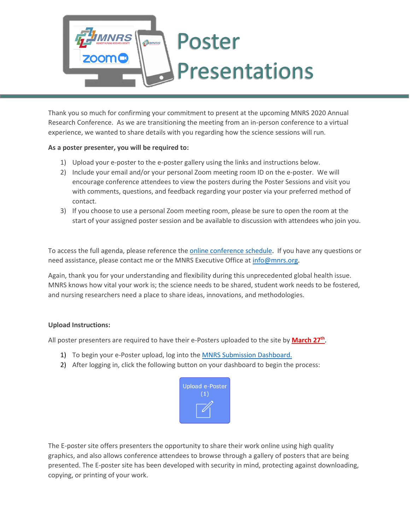# Poster <sub>ที</sub>่ปี<br>พงคร **Presentations**

Thank you so much for confirming your commitment to present at the upcoming MNRS 2020 Annual Research Conference. As we are transitioning the meeting from an in-person conference to a virtual experience, we wanted to share details with you regarding how the science sessions will run.

### **As a poster presenter, you will be required to:**

**IRS** 

- 1) Upload your e-poster to the e-poster gallery using the links and instructions below.
- 2) Include your email and/or your personal Zoom meeting room ID on the e-poster. We will encourage conference attendees to view the posters during the Poster Sessions and visit you with comments, questions, and feedback regarding your poster via your preferred method of contact.
- 3) If you choose to use a personal Zoom meeting room, please be sure to open the room at the start of your assigned poster session and be available to discussion with attendees who join you.

To access the full agenda, please reference th[e online conference schedule.](https://mnrs.societyconference.com/conf/#sessions/conf10002) If you have any questions or need assistance, please contact me or the MNRS Executive Office at [info@mnrs.org.](mailto:info@mnrs.org)

Again, thank you for your understanding and flexibility during this unprecedented global health issue. MNRS knows how vital your work is; the science needs to be shared, student work needs to be fostered, and nursing researchers need a place to share ideas, innovations, and methodologies.

### **Upload Instructions:**

All poster presenters are required to have their e-Posters uploaded to the site by **March 27<sup>th</sup>**.

- 1) To begin your e-Poster upload, log into the MNRS [Submission Dashboard.](https://mnrs.societyconference.com/?conf_id=10002&m=user&h=home)
- 2) After logging in, click the following button on your dashboard to begin the process:



The E-poster site offers presenters the opportunity to share their work online using high quality graphics, and also allows conference attendees to browse through a gallery of posters that are being presented. The E-poster site has been developed with security in mind, protecting against downloading, copying, or printing of your work.